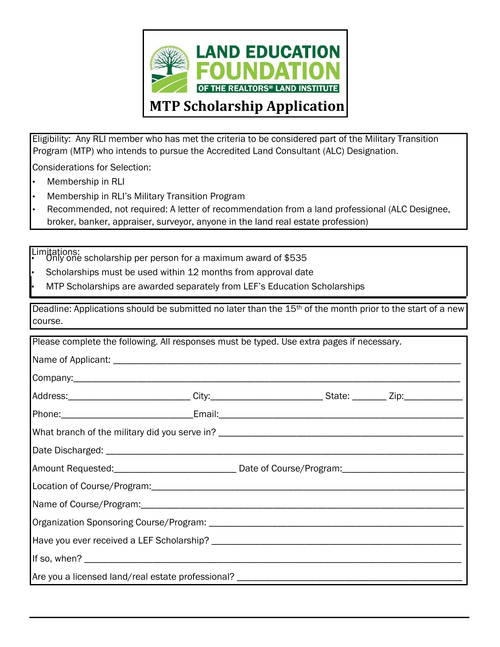

Eligibility: Any RLI member who has met the criteria to be considered part of the Military Transition Program (MTP) who intends to pursue the Accredited Land Consultant (ALC) Designation.

Considerations for Selection:

- Membership in RLI
- Membership in RLI's Military Transition Program
- Recommended, not required: A letter of recommendation from a land professional (ALC Designee, broker, banker, appraiser, surveyor, anyone in the land real estate profession)

Limitations: • Only one scholarship per person for a maximum award of \$535

Scholarships must be used within 12 months from approval date

• MTP Scholarships are awarded separately from LEF's Education Scholarships

Deadline: Applications should be submitted no later than the 15<sup>th</sup> of the month prior to the start of a new course.

| Please complete the following. All responses must be typed. Use extra pages if necessary. |  |                                                                                                           |  |
|-------------------------------------------------------------------------------------------|--|-----------------------------------------------------------------------------------------------------------|--|
|                                                                                           |  |                                                                                                           |  |
|                                                                                           |  |                                                                                                           |  |
|                                                                                           |  | Address:______________________________City:___________________________State: _________ Zip:______________ |  |
|                                                                                           |  |                                                                                                           |  |
|                                                                                           |  |                                                                                                           |  |
|                                                                                           |  |                                                                                                           |  |
|                                                                                           |  | Amount Requested: _________________________________ Date of Course/Program: _______________________       |  |
|                                                                                           |  |                                                                                                           |  |
|                                                                                           |  |                                                                                                           |  |
|                                                                                           |  |                                                                                                           |  |
|                                                                                           |  |                                                                                                           |  |
|                                                                                           |  |                                                                                                           |  |
| Are you a licensed land/real estate professional? ______________________________          |  |                                                                                                           |  |